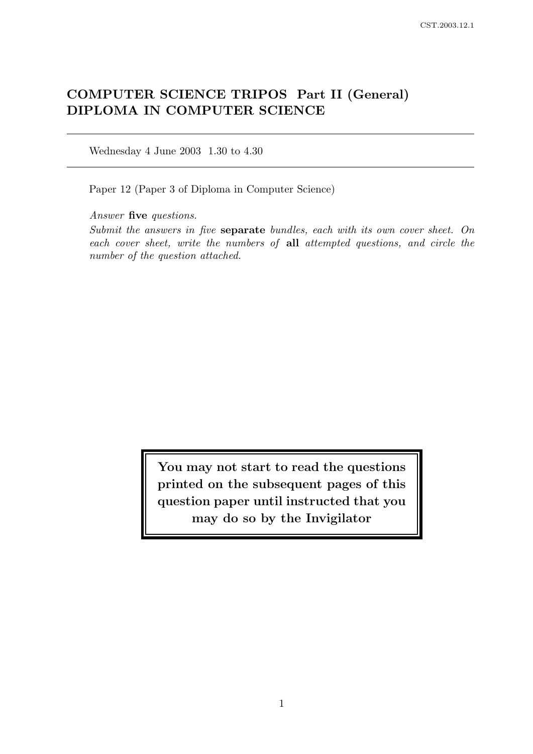# COMPUTER SCIENCE TRIPOS Part II (General) DIPLOMA IN COMPUTER SCIENCE

Wednesday 4 June 2003 1.30 to 4.30

Paper 12 (Paper 3 of Diploma in Computer Science)

Answer five questions.

Submit the answers in five separate bundles, each with its own cover sheet. On each cover sheet, write the numbers of all attempted questions, and circle the number of the question attached.

> You may not start to read the questions printed on the subsequent pages of this question paper until instructed that you may do so by the Invigilator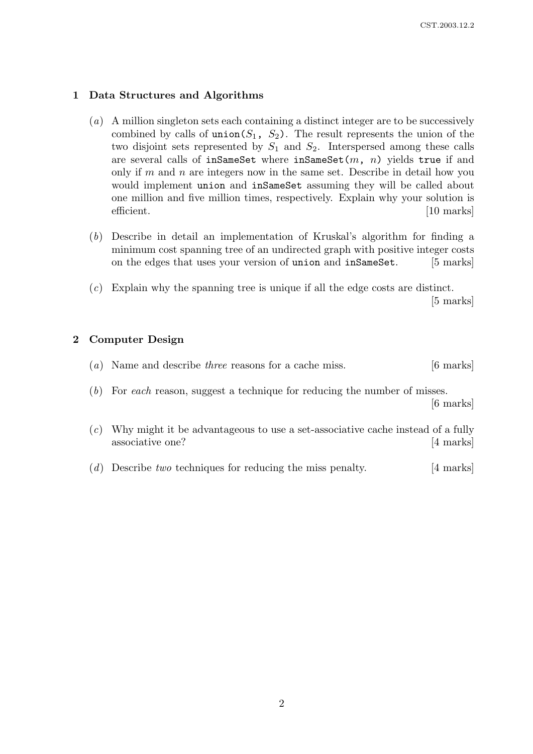### 1 Data Structures and Algorithms

- (a) A million singleton sets each containing a distinct integer are to be successively combined by calls of union( $S_1$ ,  $S_2$ ). The result represents the union of the two disjoint sets represented by  $S_1$  and  $S_2$ . Interspersed among these calls are several calls of inSameSet where inSameSet $(m, n)$  yields true if and only if m and n are integers now in the same set. Describe in detail how you would implement union and inSameSet assuming they will be called about one million and five million times, respectively. Explain why your solution is efficient. [10 marks]
- (b) Describe in detail an implementation of Kruskal's algorithm for finding a minimum cost spanning tree of an undirected graph with positive integer costs on the edges that uses your version of union and inSameSet. [5 marks]
- (c) Explain why the spanning tree is unique if all the edge costs are distinct.

[5 marks]

# 2 Computer Design

|  | $(a)$ Name and describe <i>three</i> reasons for a cache miss. | $[6 \text{ marks}]$ |  |
|--|----------------------------------------------------------------|---------------------|--|
|--|----------------------------------------------------------------|---------------------|--|

- (b) For each reason, suggest a technique for reducing the number of misses. [6 marks]
- (c) Why might it be advantageous to use a set-associative cache instead of a fully associative one? [4 marks]
- (d) Describe two techniques for reducing the miss penalty.  $[4 \text{ marks}]$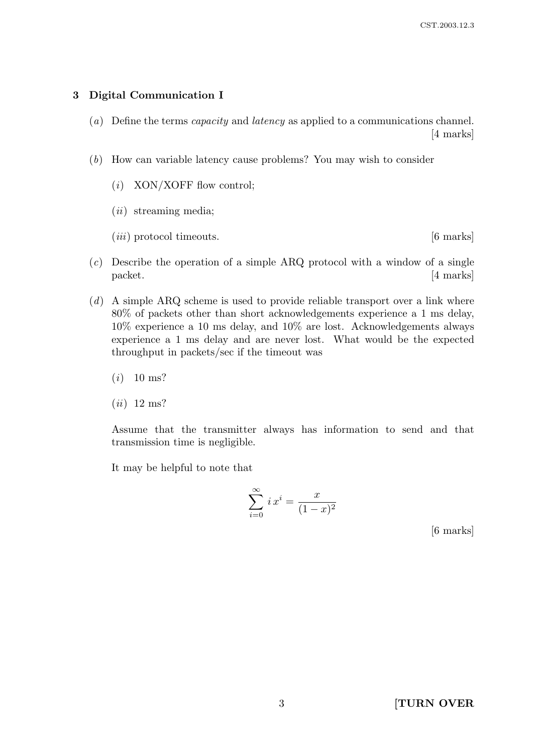# 3 Digital Communication I

- (a) Define the terms capacity and latency as applied to a communications channel. [4 marks]
- (b) How can variable latency cause problems? You may wish to consider
	- $(i)$  XON/XOFF flow control;
	- $(ii)$  streaming media;
	- $(iii)$  protocol timeouts.  $[6 \text{ marks}]$

- $(c)$  Describe the operation of a simple ARQ protocol with a window of a single packet. [4 marks]
- $(d)$  A simple ARQ scheme is used to provide reliable transport over a link where 80% of packets other than short acknowledgements experience a 1 ms delay, 10% experience a 10 ms delay, and 10% are lost. Acknowledgements always experience a 1 ms delay and are never lost. What would be the expected throughput in packets/sec if the timeout was
	- $(i)$  10 ms?
	- $(ii)$  12 ms?

Assume that the transmitter always has information to send and that transmission time is negligible.

It may be helpful to note that

$$
\sum_{i=0}^{\infty} i x^i = \frac{x}{(1-x)^2}
$$

[6 marks]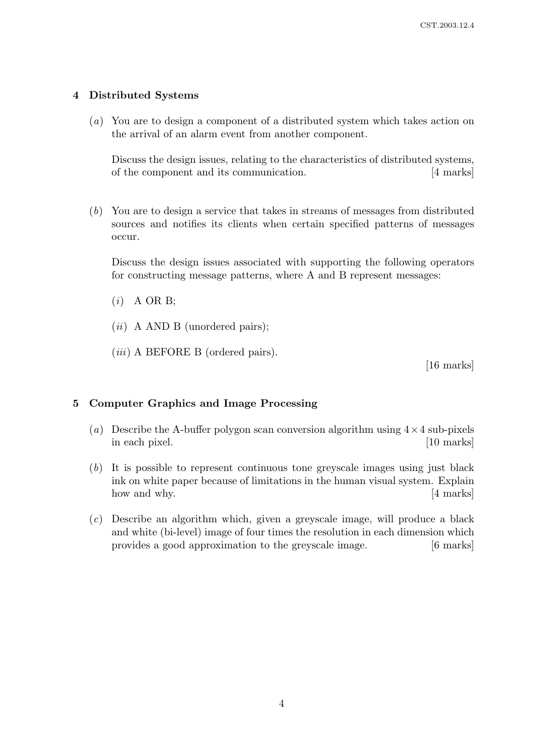### 4 Distributed Systems

(a) You are to design a component of a distributed system which takes action on the arrival of an alarm event from another component.

Discuss the design issues, relating to the characteristics of distributed systems, of the component and its communication. [4 marks]

(b) You are to design a service that takes in streams of messages from distributed sources and notifies its clients when certain specified patterns of messages occur.

Discuss the design issues associated with supporting the following operators for constructing message patterns, where A and B represent messages:

- $(i)$  A OR B;
- $(ii)$  A AND B (unordered pairs);
- (*iii*) A BEFORE B (ordered pairs).

[16 marks]

#### 5 Computer Graphics and Image Processing

- (a) Describe the A-buffer polygon scan conversion algorithm using  $4 \times 4$  sub-pixels in each pixel. [10 marks] [10 marks]
- (b) It is possible to represent continuous tone greyscale images using just black ink on white paper because of limitations in the human visual system. Explain how and why. [4 marks]
- (c) Describe an algorithm which, given a greyscale image, will produce a black and white (bi-level) image of four times the resolution in each dimension which provides a good approximation to the greyscale image. [6 marks]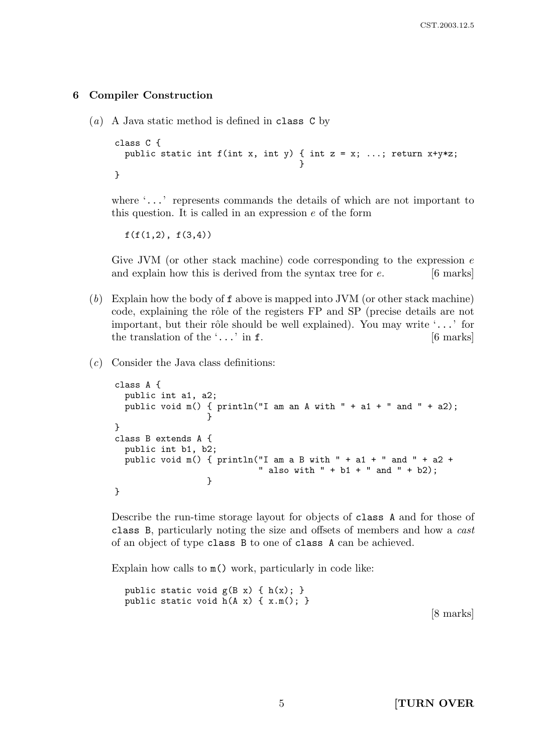#### 6 Compiler Construction

(a) A Java static method is defined in class C by

```
class C {
  public static int f(int x, int y) { int z = x; ...; return x+y*z;
                                     }
}
```
where '...' represents commands the details of which are not important to this question. It is called in an expression  $e$  of the form

 $f(f(1,2), f(3,4))$ 

Give JVM (or other stack machine) code corresponding to the expression  $e$ and explain how this is derived from the syntax tree for  $e$ . [6 marks]

- (b) Explain how the body of f above is mapped into JVM (or other stack machine) code, explaining the rôle of the registers FP and SP (precise details are not important, but their rôle should be well explained). You may write  $\ldots$  for the translation of the  $\ldots$  in f. [6 marks]
- (c) Consider the Java class definitions:

```
class A {
  public int a1, a2;
  public void m() { println("I am an A with " + a1 + " and " + a2);
                  }
}
class B extends A {
  public int b1, b2;
  public void m() { println("I am a B with " + a1 + " and " + a2 +
                            " also with " + b1 + " and " + b2);
                  }
}
```
Describe the run-time storage layout for objects of class A and for those of class B, particularly noting the size and offsets of members and how a cast of an object of type class B to one of class A can be achieved.

Explain how calls to  $m()$  work, particularly in code like:

public static void  $g(B x) \{ h(x); \}$ public static void h(A x) { x.m(); }

[8 marks]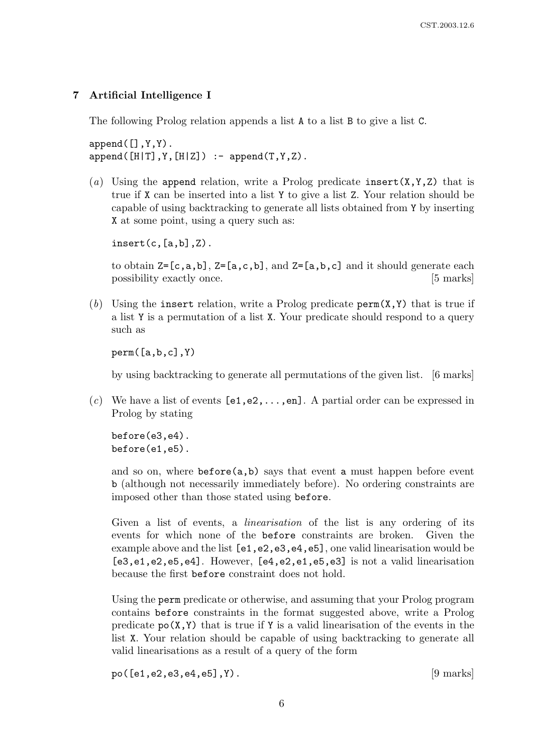#### 7 Artificial Intelligence I

The following Prolog relation appends a list A to a list B to give a list C.

 $append([], Y, Y)$ .  $append([H|T],Y,[H|Z])$  :-  $append(T,Y,Z)$ .

(a) Using the append relation, write a Prolog predicate insert  $(X, Y, Z)$  that is true if X can be inserted into a list Y to give a list Z. Your relation should be capable of using backtracking to generate all lists obtained from Y by inserting X at some point, using a query such as:

 $insert(c, [a, b], Z)$ .

to obtain  $Z=[c,a,b]$ ,  $Z=[a,c,b]$ , and  $Z=[a,b,c]$  and it should generate each possibility exactly once. [5 marks]

(b) Using the insert relation, write a Prolog predicate  $\text{perm}(X,Y)$  that is true if a list Y is a permutation of a list X. Your predicate should respond to a query such as

perm([a,b,c],Y)

by using backtracking to generate all permutations of the given list. [6 marks]

(c) We have a list of events  $[e1, e2, \ldots, en]$ . A partial order can be expressed in Prolog by stating

before(e3,e4). before(e1,e5).

and so on, where  $\text{before}(a,b)$  says that event a must happen before event b (although not necessarily immediately before). No ordering constraints are imposed other than those stated using before.

Given a list of events, a *linearisation* of the list is any ordering of its events for which none of the before constraints are broken. Given the example above and the list  $[e1, e2, e3, e4, e5]$ , one valid linearisation would be [e3,e1,e2,e5,e4]. However, [e4,e2,e1,e5,e3] is not a valid linearisation because the first before constraint does not hold.

Using the perm predicate or otherwise, and assuming that your Prolog program contains before constraints in the format suggested above, write a Prolog predicate  $p_0(X, Y)$  that is true if Y is a valid linearisation of the events in the list X. Your relation should be capable of using backtracking to generate all valid linearisations as a result of a query of the form

 $po([e1, e2, e3, e4, e5], Y).$  [9 marks]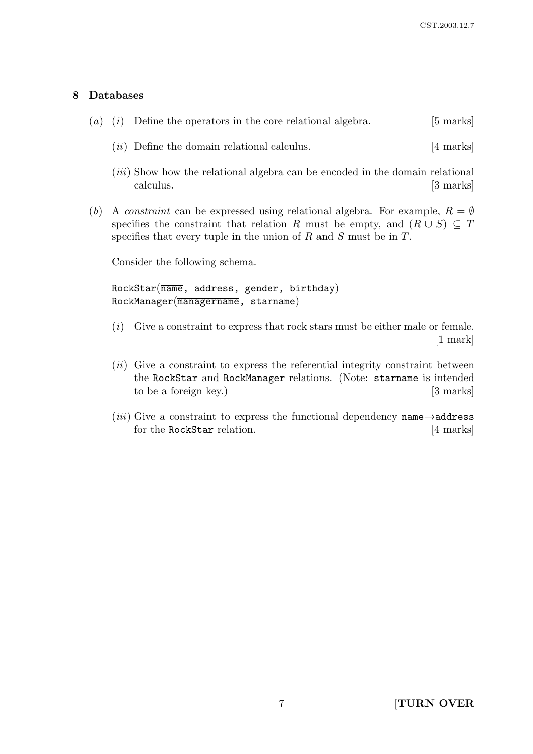# 8 Databases

|  | (a) (i) Define the operators in the core relational algebra.                                      | $[5 \text{ marks}]$ |
|--|---------------------------------------------------------------------------------------------------|---------------------|
|  | $(ii)$ Define the domain relational calculus.                                                     | [4 marks]           |
|  | <i>(iii)</i> Show how the relational algebra can be encoded in the domain relational<br>calculus. | [3 marks]           |

(b) A constraint can be expressed using relational algebra. For example,  $R = \emptyset$ specifies the constraint that relation R must be empty, and  $(R \cup S) \subseteq T$ specifies that every tuple in the union of  $R$  and  $S$  must be in  $T$ .

Consider the following schema.

 $RockStar(\overline{name}, address, gender, birthday)$ RockManager(managername, starname)

- (i) Give a constraint to express that rock stars must be either male or female. [1 mark]
- $(ii)$  Give a constraint to express the referential integrity constraint between the RockStar and RockManager relations. (Note: starname is intended to be a foreign key.) [3 marks]
- (*iii*) Give a constraint to express the functional dependency name $\rightarrow$ address for the RockStar relation. [4 marks]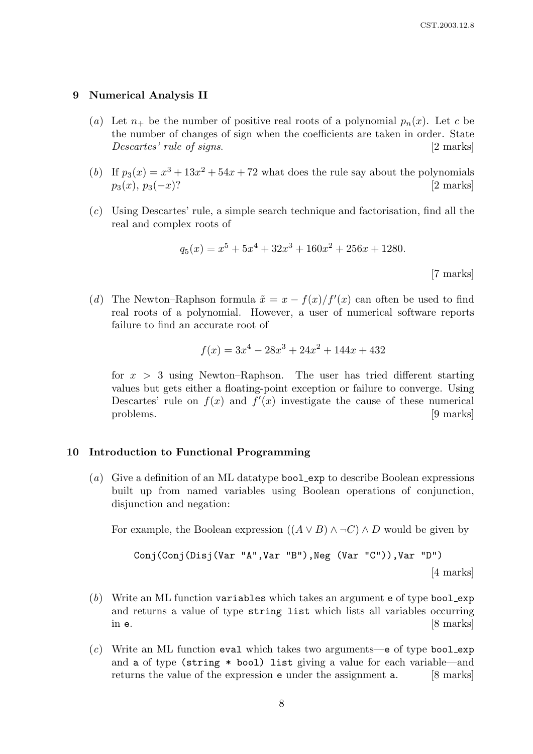#### 9 Numerical Analysis II

- (a) Let  $n_+$  be the number of positive real roots of a polynomial  $p_n(x)$ . Let c be the number of changes of sign when the coefficients are taken in order. State Descartes' rule of signs. [2 marks]
- (b) If  $p_3(x) = x^3 + 13x^2 + 54x + 72$  what does the rule say about the polynomials  $p_3(x), p_3(-x)$ ? [2 marks]
- (c) Using Descartes' rule, a simple search technique and factorisation, find all the real and complex roots of

$$
q_5(x) = x^5 + 5x^4 + 32x^3 + 160x^2 + 256x + 1280.
$$

[7 marks]

(d) The Newton–Raphson formula  $\tilde{x} = x - f(x)/f'(x)$  can often be used to find real roots of a polynomial. However, a user of numerical software reports failure to find an accurate root of

$$
f(x) = 3x^4 - 28x^3 + 24x^2 + 144x + 432
$$

for  $x > 3$  using Newton–Raphson. The user has tried different starting values but gets either a floating-point exception or failure to converge. Using Descartes' rule on  $f(x)$  and  $f'(x)$  investigate the cause of these numerical problems. [9 marks]

#### 10 Introduction to Functional Programming

(a) Give a definition of an ML datatype bool exp to describe Boolean expressions built up from named variables using Boolean operations of conjunction, disjunction and negation:

For example, the Boolean expression  $((A \vee B) \wedge \neg C) \wedge D$  would be given by

Conj(Conj(Disj(Var "A",Var "B"),Neg (Var "C")),Var "D")\n
$$
[4 \text{ marks}]
$$

- $(b)$  Write an ML function variables which takes an argument e of type bool exp and returns a value of type string list which lists all variables occurring in  $e$ . [8 marks]
- $(c)$  Write an ML function eval which takes two arguments—e of type bool exp and a of type (string \* bool) list giving a value for each variable—and returns the value of the expression e under the assignment a. [8 marks]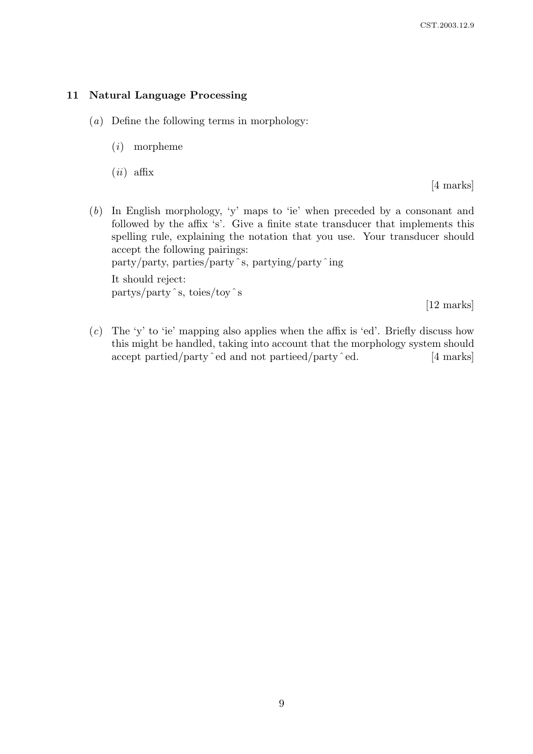# 11 Natural Language Processing

- (a) Define the following terms in morphology:
	- (i) morpheme
	- $(ii)$  affix

[4 marks]

- (b) In English morphology, 'y' maps to 'ie' when preceded by a consonant and followed by the affix 's'. Give a finite state transducer that implements this spelling rule, explaining the notation that you use. Your transducer should accept the following pairings: party/party, parties/partyˆs, partying/partyˆing It should reject: partys/partyˆs, toies/toyˆs [12 marks]
- $(c)$  The 'y' to 'ie' mapping also applies when the affix is 'ed'. Briefly discuss how this might be handled, taking into account that the morphology system should accept partied/party  $\hat{e}$  and not partieed/party  $\hat{e}$  ed. [4 marks]